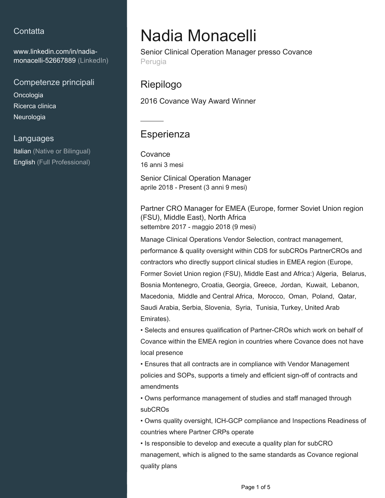## **Contatta**

[www.linkedin.com/in/nadia](https://www.linkedin.com/in/nadia-monacelli-52667889?jobid=1234&lipi=urn%3Ali%3Apage%3Ad_jobs_easyapply_pdfgenresume%3BJfKLJJsoRNyF8PxJu%2F9XYg%3D%3D&licu=urn%3Ali%3Acontrol%3Ad_jobs_easyapply_pdfgenresume-v02_profile)[monacelli-52667889 \(LinkedIn\)](https://www.linkedin.com/in/nadia-monacelli-52667889?jobid=1234&lipi=urn%3Ali%3Apage%3Ad_jobs_easyapply_pdfgenresume%3BJfKLJJsoRNyF8PxJu%2F9XYg%3D%3D&licu=urn%3Ali%3Acontrol%3Ad_jobs_easyapply_pdfgenresume-v02_profile)

Competenze principali Oncologia Ricerca clinica

**Neurologia** 

## Languages

Italian (Native or Bilingual) English (Full Professional)

# Nadia Monacelli

Senior Clinical Operation Manager presso Covance Perugia

Riepilogo

2016 Covance Way Award Winner

# **Esperienza**

Covance 16 anni 3 mesi

Senior Clinical Operation Manager aprile 2018 - Present (3 anni 9 mesi)

Partner CRO Manager for EMEA (Europe, former Soviet Union region (FSU), Middle East), North Africa settembre 2017 - maggio 2018 (9 mesi)

Manage Clinical Operations Vendor Selection, contract management, performance & quality oversight within CDS for subCROs PartnerCROs and contractors who directly support clinical studies in EMEA region (Europe, Former Soviet Union region (FSU), Middle East and Africa:) Algeria, Belarus, Bosnia Montenegro, Croatia, Georgia, Greece, Jordan, Kuwait, Lebanon, Macedonia, Middle and Central Africa, Morocco, Oman, Poland, Qatar, Saudi Arabia, Serbia, Slovenia, Syria, Tunisia, Turkey, United Arab Emirates).

• Selects and ensures qualification of Partner-CROs which work on behalf of Covance within the EMEA region in countries where Covance does not have local presence

• Ensures that all contracts are in compliance with Vendor Management policies and SOPs, supports a timely and efficient sign-off of contracts and amendments

• Owns performance management of studies and staff managed through subCROs

• Owns quality oversight, ICH-GCP compliance and Inspections Readiness of countries where Partner CRPs operate

• Is responsible to develop and execute a quality plan for subCRO management, which is aligned to the same standards as Covance regional quality plans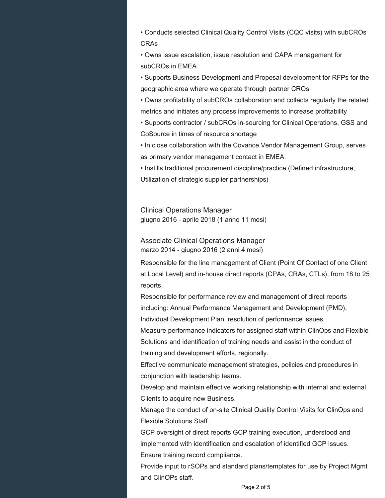• Conducts selected Clinical Quality Control Visits (CQC visits) with subCROs CRAs

• Owns issue escalation, issue resolution and CAPA management for subCROs in EMEA

• Supports Business Development and Proposal development for RFPs for the geographic area where we operate through partner CROs

• Owns profitability of subCROs collaboration and collects regularly the related metrics and initiates any process improvements to increase profitability

• Supports contractor / subCROs in-sourcing for Clinical Operations, GSS and CoSource in times of resource shortage

• In close collaboration with the Covance Vendor Management Group, serves as primary vendor management contact in EMEA.

• Instills traditional procurement discipline/practice (Defined infrastructure, Utilization of strategic supplier partnerships)

Clinical Operations Manager giugno 2016 - aprile 2018 (1 anno 11 mesi)

## Associate Clinical Operations Manager marzo 2014 - giugno 2016 (2 anni 4 mesi)

Responsible for the line management of Client (Point Of Contact of one Client at Local Level) and in-house direct reports (CPAs, CRAs, CTLs), from 18 to 25 reports.

Responsible for performance review and management of direct reports including: Annual Performance Management and Development (PMD), Individual Development Plan, resolution of performance issues.

Measure performance indicators for assigned staff within ClinOps and Flexible Solutions and identification of training needs and assist in the conduct of training and development efforts, regionally.

Effective communicate management strategies, policies and procedures in conjunction with leadership teams.

Develop and maintain effective working relationship with internal and external Clients to acquire new Business.

Manage the conduct of on-site Clinical Quality Control Visits for ClinOps and Flexible Solutions Staff.

GCP oversight of direct reports GCP training execution, understood and implemented with identification and escalation of identified GCP issues. Ensure training record compliance.

Provide input to rSOPs and standard plans/templates for use by Project Mgmt and ClinOPs staff.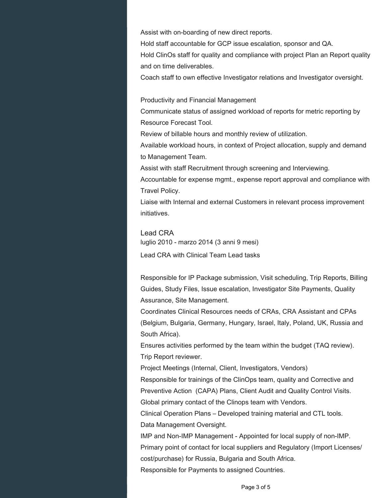Assist with on-boarding of new direct reports.

Hold staff accountable for GCP issue escalation, sponsor and QA.

Hold ClinOs staff for quality and compliance with project Plan an Report quality and on time deliverables.

Coach staff to own effective Investigator relations and Investigator oversight.

Productivity and Financial Management

Communicate status of assigned workload of reports for metric reporting by Resource Forecast Tool.

Review of billable hours and monthly review of utilization.

Available workload hours, in context of Project allocation, supply and demand to Management Team.

Assist with staff Recruitment through screening and Interviewing.

Accountable for expense mgmt., expense report approval and compliance with Travel Policy.

Liaise with Internal and external Customers in relevant process improvement initiatives.

Lead CRA luglio 2010 - marzo 2014 (3 anni 9 mesi) Lead CRA with Clinical Team Lead tasks

Responsible for IP Package submission, Visit scheduling, Trip Reports, Billing Guides, Study Files, Issue escalation, Investigator Site Payments, Quality Assurance, Site Management.

Coordinates Clinical Resources needs of CRAs, CRA Assistant and CPAs (Belgium, Bulgaria, Germany, Hungary, Israel, Italy, Poland, UK, Russia and South Africa).

Ensures activities performed by the team within the budget (TAQ review). Trip Report reviewer.

Project Meetings (Internal, Client, Investigators, Vendors) Responsible for trainings of the ClinOps team, quality and Corrective and Preventive Action (CAPA) Plans, Client Audit and Quality Control Visits. Global primary contact of the Clinops team with Vendors.

Clinical Operation Plans – Developed training material and CTL tools. Data Management Oversight.

IMP and Non-IMP Management - Appointed for local supply of non-IMP. Primary point of contact for local suppliers and Regulatory (Import Licenses/ cost/purchase) for Russia, Bulgaria and South Africa. Responsible for Payments to assigned Countries.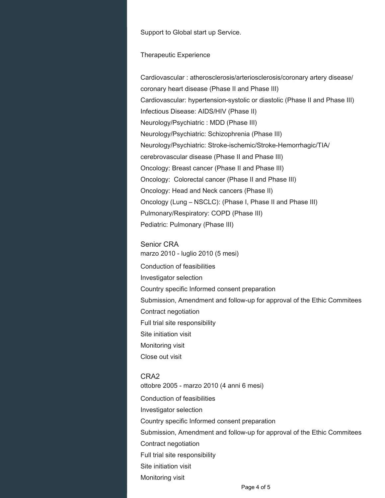Support to Global start up Service.

#### Therapeutic Experience

Cardiovascular : atherosclerosis/arteriosclerosis/coronary artery disease/ coronary heart disease (Phase II and Phase III) Cardiovascular: hypertension-systolic or diastolic (Phase II and Phase III) Infectious Disease: AIDS/HIV (Phase II) Neurology/Psychiatric : MDD (Phase III) Neurology/Psychiatric: Schizophrenia (Phase III) Neurology/Psychiatric: Stroke-ischemic/Stroke-Hemorrhagic/TIA/ cerebrovascular disease (Phase II and Phase III) Oncology: Breast cancer (Phase II and Phase III) Oncology: Colorectal cancer (Phase II and Phase III) Oncology: Head and Neck cancers (Phase II) Oncology (Lung – NSCLC): (Phase I, Phase II and Phase III) Pulmonary/Respiratory: COPD (Phase III) Pediatric: Pulmonary (Phase III)

#### Senior CRA

marzo 2010 - luglio 2010 (5 mesi) Conduction of feasibilities Investigator selection Country specific Informed consent preparation Submission, Amendment and follow-up for approval of the Ethic Commitees Contract negotiation Full trial site responsibility Site initiation visit Monitoring visit Close out visit

#### CRA2

ottobre 2005 - marzo 2010 (4 anni 6 mesi) Conduction of feasibilities Investigator selection Country specific Informed consent preparation Submission, Amendment and follow-up for approval of the Ethic Commitees Contract negotiation Full trial site responsibility Site initiation visit Monitoring visit